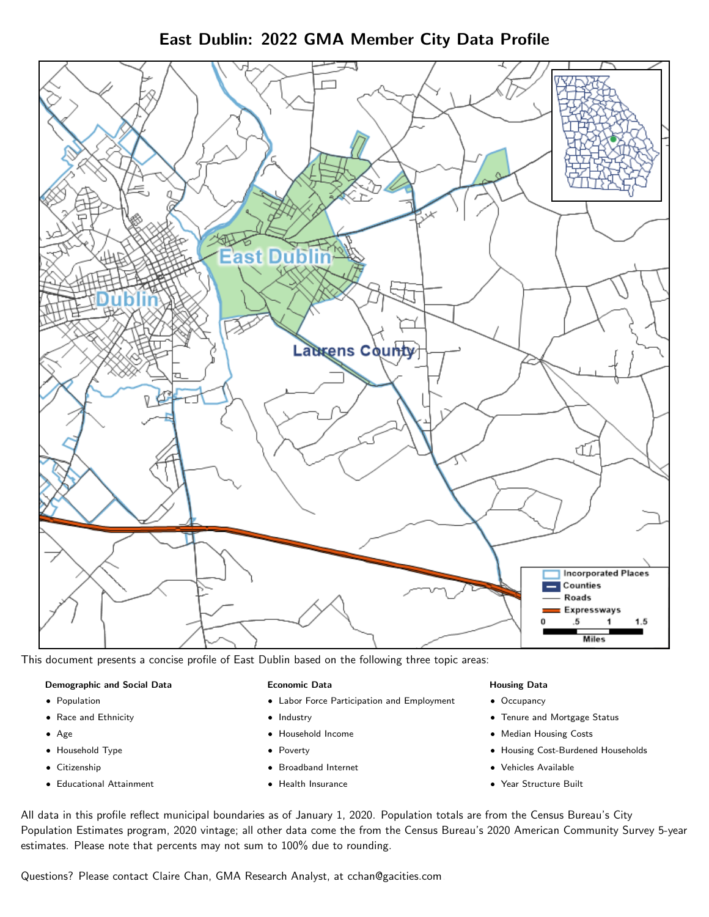East Dublin: 2022 GMA Member City Data Profile



This document presents a concise profile of East Dublin based on the following three topic areas:

#### Demographic and Social Data

- **•** Population
- Race and Ethnicity
- Age
- Household Type
- **Citizenship**
- Educational Attainment

## Economic Data

- Labor Force Participation and Employment
- Industry
- Household Income
- Poverty
- Broadband Internet
- Health Insurance

#### Housing Data

- Occupancy
- Tenure and Mortgage Status
- Median Housing Costs
- Housing Cost-Burdened Households
- Vehicles Available
- Year Structure Built

All data in this profile reflect municipal boundaries as of January 1, 2020. Population totals are from the Census Bureau's City Population Estimates program, 2020 vintage; all other data come the from the Census Bureau's 2020 American Community Survey 5-year estimates. Please note that percents may not sum to 100% due to rounding.

Questions? Please contact Claire Chan, GMA Research Analyst, at [cchan@gacities.com.](mailto:cchan@gacities.com)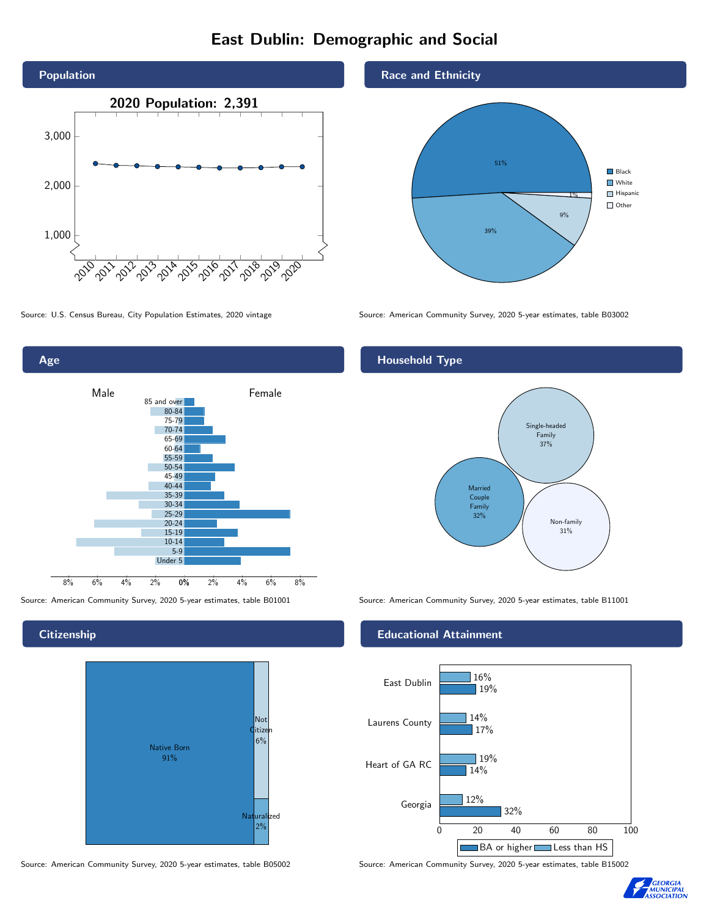# East Dublin: Demographic and Social





**Citizenship** 



Source: American Community Survey, 2020 5-year estimates, table B05002 Source: American Community Survey, 2020 5-year estimates, table B15002

## Race and Ethnicity



Source: U.S. Census Bureau, City Population Estimates, 2020 vintage Source: American Community Survey, 2020 5-year estimates, table B03002

# Household Type



Source: American Community Survey, 2020 5-year estimates, table B01001 Source: American Community Survey, 2020 5-year estimates, table B11001

### Educational Attainment



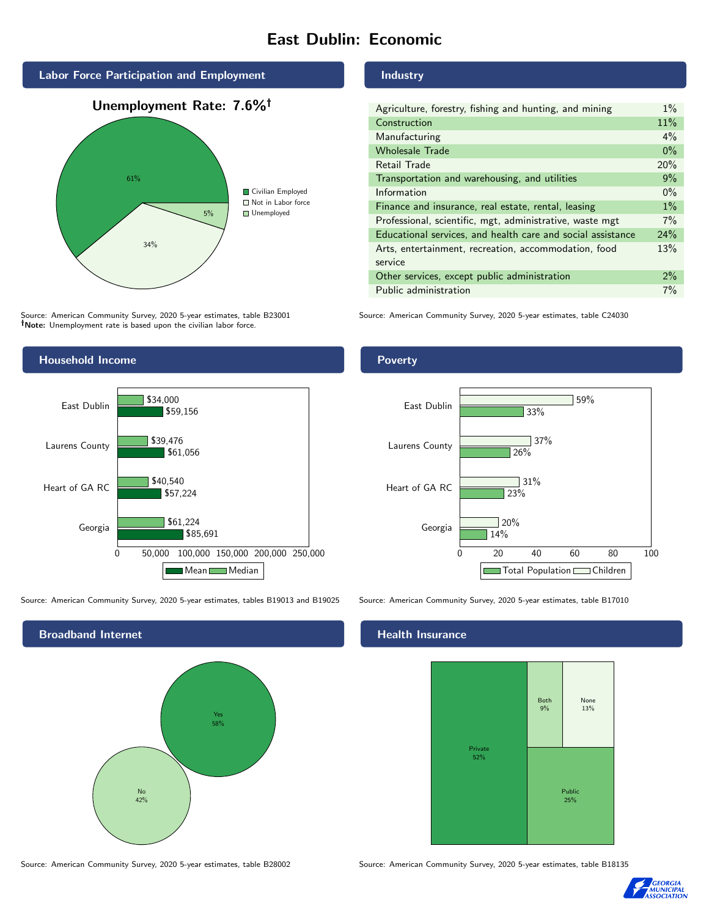# East Dublin: Economic



Source: American Community Survey, 2020 5-year estimates, table B23001 Note: Unemployment rate is based upon the civilian labor force.



| Agriculture, forestry, fishing and hunting, and mining      | $1\%$ |
|-------------------------------------------------------------|-------|
| Construction                                                | 11%   |
| Manufacturing                                               | $4\%$ |
| <b>Wholesale Trade</b>                                      | $0\%$ |
| Retail Trade                                                | 20%   |
| Transportation and warehousing, and utilities               | 9%    |
| Information                                                 | $0\%$ |
| Finance and insurance, real estate, rental, leasing         | $1\%$ |
| Professional, scientific, mgt, administrative, waste mgt    | 7%    |
| Educational services, and health care and social assistance | 24%   |
| Arts, entertainment, recreation, accommodation, food        | 13%   |
| service                                                     |       |
| Other services, except public administration                | $2\%$ |
| Public administration                                       | 7%    |

Source: American Community Survey, 2020 5-year estimates, table C24030



Source: American Community Survey, 2020 5-year estimates, tables B19013 and B19025 Source: American Community Survey, 2020 5-year estimates, table B17010





## Health Insurance



Source: American Community Survey, 2020 5-year estimates, table B28002 Source: American Community Survey, 2020 5-year estimates, table B18135